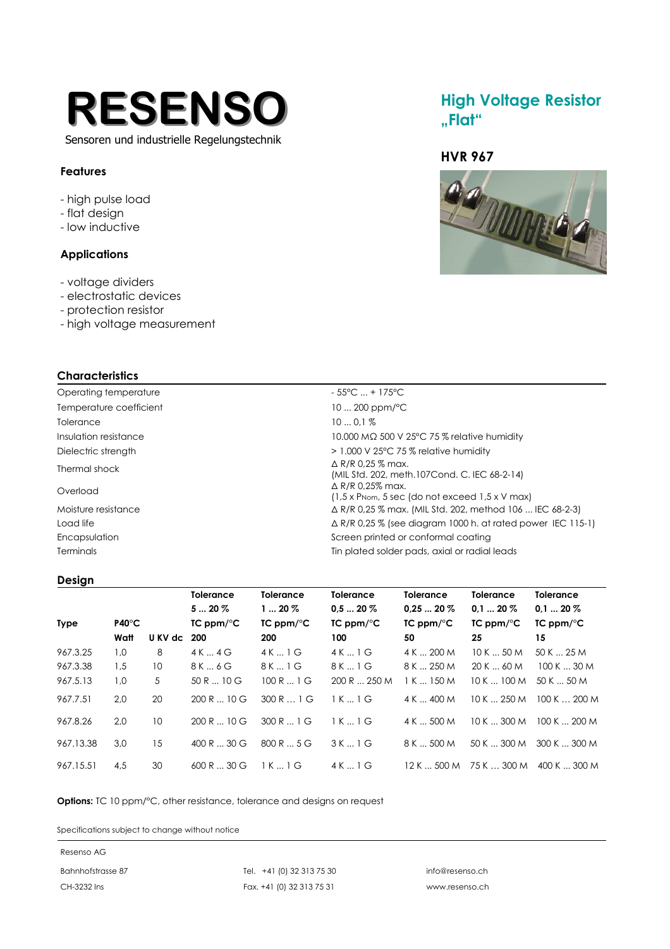

## Sensoren und industrielle Regelungstechnik

### **Features**

- high pulse load
- flat design
- low inductive

### **Applications**

- voltage dividers
- electrostatic devices
- protection resistor
- high voltage measurement

### **Characteristics**

Temperature coefficient 10 ... 200 ppm/°C Tolerance 10 ... 0,1 % Thermal shock  $\triangle$  R/R 0,25 % max. Overload ∆ R/R 0,25% max.

# Operating temperature  $-55^{\circ}$ C ... + 175<sup>°</sup>C Insulation resistance 10.000 MΩ 500 V 25°C 75 % relative humidity Dielectric strength  $\rightarrow$  1.000 V 25°C 75 % relative humidity (MIL Std. 202, meth.107Cond. C. IEC 68-2-14) (1,5 x PNom, 5 sec (do not exceed 1,5 x V max) Moisture resistance ∆ R/R 0,25 % max. (MIL Std. 202, method 106 ... IEC 68-2-3) Load life △ Domestic Research A R/R 0,25 % (see diagram 1000 h. at rated power IEC 115-1) Encapsulation **Screen printed or conformal coating** Screen printed or conformal coating

## Terminals Tin plated solder pads, axial or radial leads

### **Design**

|             |                 |             | <b>Tolerance</b>      | <b>Tolerance</b>      | <b>Tolerance</b>      | <b>Tolerance</b>      | <b>Tolerance</b>      | <b>Tolerance</b>      |
|-------------|-----------------|-------------|-----------------------|-----------------------|-----------------------|-----------------------|-----------------------|-----------------------|
|             |                 |             | $520\%$               | $120\%$               | $0.520\%$             | $0.2520\%$            | $0.120\%$             | $0.120\%$             |
| <b>Type</b> | $P40^{\circ}$ C |             | $TC$ ppm/ $\degree$ C | $TC$ ppm/ $\degree$ C | $TC$ ppm/ $\degree$ C | $TC$ ppm/ $\degree$ C | $TC$ ppm/ $\degree$ C | $TC$ ppm/ $\degree$ C |
|             | Watt            | U KV dc 200 |                       | 200                   | 100                   | 50                    | 25                    | 15                    |
| 967.3.25    | 1,0             | 8           | 4K4G                  | 4K1G                  | 4 K  1 G              | 4 K  200 M            | 10K50M                | 50 K  25 M            |
| 967.3.38    | 1,5             | 10          | 8 K  6 G              | 8K1G                  | 8 K  1 G              | 8 K  250 M            | 20 K  60 M            | 100K30M               |
| 967.5.13    | 1,0             | 5           | 50R10G                | 100 R  1 G            | 200 R  250 M          | 1 K  150 M            | 10K100M               | 50 K  50 M            |
| 967.7.51    | 2,0             | 20          | 200R10G               | 300R1G                | 1K1G                  | 4 K  400 M            | 10K250M               | 100K200M              |
| 967.8.26    | 2.0             | 10          | 200R10G               | 300 R  1 G            | 1K1G                  | 4 K  500 M            | 10 K  300 M           | 100K200M              |
| 967.13.38   | 3,0             | 15          | $400 R$ 30 G          | 800R5G                | 3K1G                  | 8 K  500 M            | 50 K  300 M           | 300K300M              |
| 967.15.51   | 4.5             | 30          | 600R30G               | 1K1G                  | 4 K  1 G              | 12 K  500 M           | 75 K  300 M           | 400 K  300 M          |

**Options:** TC 10 ppm/°C, other resistance, tolerance and designs on request

Specifications subject to change without notice

#### Resenso AG

Bahnhofstrasse 87 Tel. +41 (0) 32 313 75 30 info@resenso.ch CH-3232 Ins Fax. +41 (0) 32 313 75 31 www.resenso.ch

# **High Voltage Resistor "Flat"**

# **HVR 967**